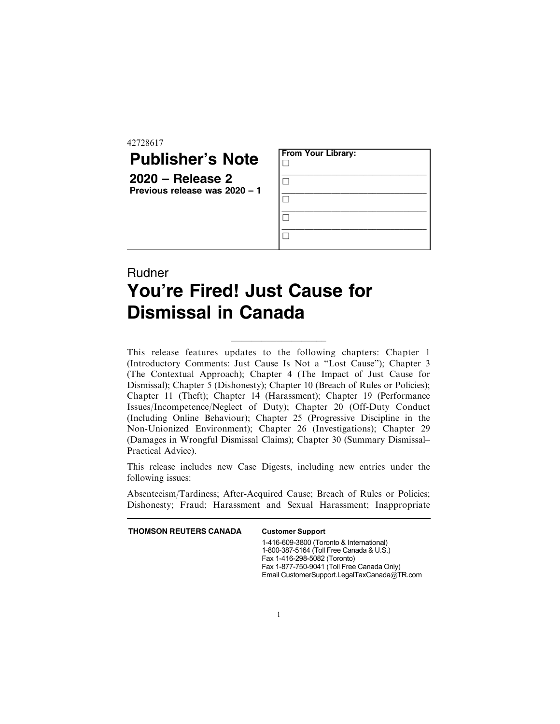42728617

## **Publisher's Note**

**2020 – Release 2 Previous release was 2020 – 1**

| <b>From Your Library:</b> |  |  |
|---------------------------|--|--|
|                           |  |  |
|                           |  |  |
|                           |  |  |
|                           |  |  |

## Rudner **You're Fired! Just Cause for Dismissal in Canada**

This release features updates to the following chapters: Chapter 1 (Introductory Comments: Just Cause Is Not a "Lost Cause"); Chapter 3 (The Contextual Approach); Chapter 4 (The Impact of Just Cause for Dismissal); Chapter 5 (Dishonesty); Chapter 10 (Breach of Rules or Policies); Chapter 11 (Theft); Chapter 14 (Harassment); Chapter 19 (Performance Issues/Incompetence/Neglect of Duty); Chapter 20 (Off-Duty Conduct (Including Online Behaviour); Chapter 25 (Progressive Discipline in the Non-Unionized Environment); Chapter 26 (Investigations); Chapter 29 (Damages in Wrongful Dismissal Claims); Chapter 30 (Summary Dismissal– Practical Advice).

\_\_\_\_\_\_\_\_\_\_\_\_\_\_\_\_\_\_\_

This release includes new Case Digests, including new entries under the following issues:

Absenteeism/Tardiness; After-Acquired Cause; Breach of Rules or Policies; Dishonesty; Fraud; Harassment and Sexual Harassment; Inappropriate

**THOMSON REUTERS CANADA** Customer Support

1-416-609-3800 (Toronto & International) 1-800-387-5164 (Toll Free Canada & U.S.) Fax 1-416-298-5082 (Toronto) Fax 1-877-750-9041 (Toll Free Canada Only) Email CustomerSupport.LegalTaxCanada@TR.com